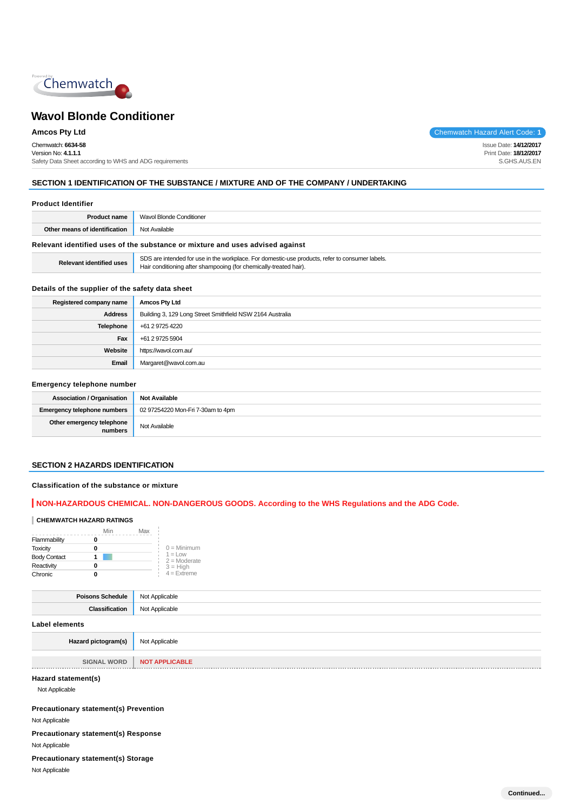

Chemwatch: **6634-58** Version No: **4.1.1.1** Safety Data Sheet according to WHS and ADG requirements

**Amcos Pty Ltd** Chemwatch Hazard Alert Code: **1** 

Issue Date: **14/12/2017** Print Date: **18/12/2017** S.GHS.AUS.EN

## **SECTION 1 IDENTIFICATION OF THE SUBSTANCE / MIXTURE AND OF THE COMPANY / UNDERTAKING**

| <b>Product Identifier</b>       |                                                                                                                                                                      |  |  |
|---------------------------------|----------------------------------------------------------------------------------------------------------------------------------------------------------------------|--|--|
| <b>Product name</b>             | Wavol Blonde Conditioner                                                                                                                                             |  |  |
| Other means of identification   | Not Available                                                                                                                                                        |  |  |
|                                 | Relevant identified uses of the substance or mixture and uses advised against                                                                                        |  |  |
| <b>Relevant identified uses</b> | SDS are intended for use in the workplace. For domestic-use products, refer to consumer labels.<br>Hair conditioning after shampooing (for chemically-treated hair). |  |  |

## **Details of the supplier of the safety data sheet**

| Registered company name | <b>Amcos Pty Ltd</b>                                      |
|-------------------------|-----------------------------------------------------------|
| <b>Address</b>          | Building 3, 129 Long Street Smithfield NSW 2164 Australia |
| Telephone               | +61 2 9725 4220                                           |
| Fax                     | +61 2 9725 5904                                           |
| Website                 | https://wavol.com.au/                                     |
| Email                   | Margaret@wavol.com.au                                     |

#### **Emergency telephone number**

| <b>Association / Organisation</b>    | <b>Not Available</b>              |
|--------------------------------------|-----------------------------------|
| <b>Emergency telephone numbers</b>   | 02 97254220 Mon-Fri 7-30am to 4pm |
| Other emergency telephone<br>numbers | Not Available                     |

#### **SECTION 2 HAZARDS IDENTIFICATION**

#### **Classification of the substance or mixture**

## **NON-HAZARDOUS CHEMICAL. NON-DANGEROUS GOODS. According to the WHS Regulations and the ADG Code.**

## **CHEMWATCH HAZARD RATINGS**

|                     | Min | Max |                              |
|---------------------|-----|-----|------------------------------|
| Flammability        |     |     |                              |
| <b>Toxicity</b>     |     |     | $0 =$ Minimum                |
| <b>Body Contact</b> |     |     | $1 = 1$ OW<br>$2 =$ Moderate |
| Reactivity          |     |     | $3 = High$                   |
| Chronic             |     |     | $4 =$ Extreme                |

| <b>Poisons Schedule</b> Not Applicable |                |
|----------------------------------------|----------------|
| Classification                         | Not Applicable |
| Label elements                         |                |
| Hazard pictogram(s)                    | Not Applicable |

**SIGNAL WORD** | **NOT APPLICABLE Contract Contract Contract** 

## **Hazard statement(s)**

Not Applicable

**Precautionary statement(s) Prevention**

Not Applicable

**Precautionary statement(s) Response** Not Applicable

#### **Precautionary statement(s) Storage**

Not Applicable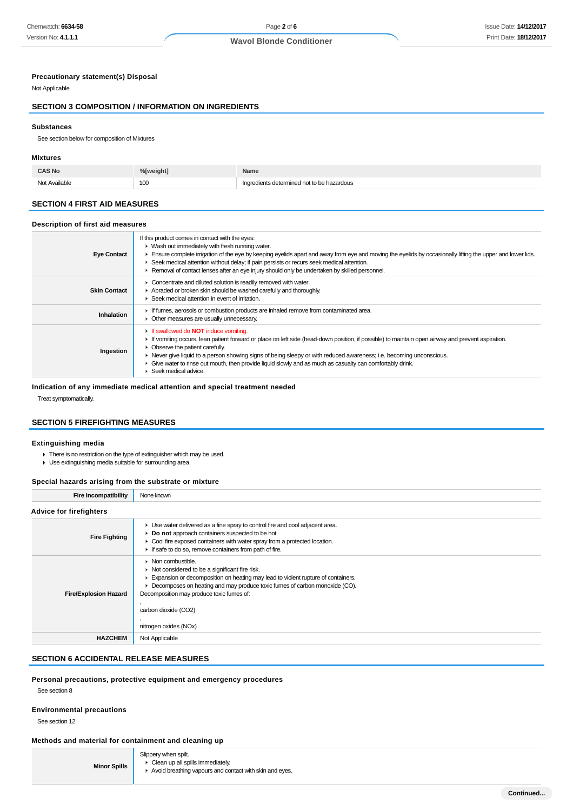### **Precautionary statement(s) Disposal**

Not Applicable

## **SECTION 3 COMPOSITION / INFORMATION ON INGREDIENTS**

#### **Substances**

See section below for composition of Mixtures

#### **Mixtures**

| ____ | aht <sup>7</sup> | Name      |
|------|------------------|-----------|
| .    | 100<br>$ -$      | hazardous |

## **SECTION 4 FIRST AID MEASURES**

#### **Description of first aid measures**

| <b>Eye Contact</b>  | If this product comes in contact with the eyes:<br>• Wash out immediately with fresh running water.<br>► Ensure complete irrigation of the eye by keeping eyelids apart and away from eye and moving the eyelids by occasionally lifting the upper and lower lids.<br>► Seek medical attention without delay; if pain persists or recurs seek medical attention.<br>► Removal of contact lenses after an eye injury should only be undertaken by skilled personnel.                                                  |
|---------------------|----------------------------------------------------------------------------------------------------------------------------------------------------------------------------------------------------------------------------------------------------------------------------------------------------------------------------------------------------------------------------------------------------------------------------------------------------------------------------------------------------------------------|
| <b>Skin Contact</b> | Concentrate and diluted solution is readily removed with water.<br>Abraded or broken skin should be washed carefully and thoroughly.<br>$\blacktriangleright$ Seek medical attention in event of irritation.                                                                                                                                                                                                                                                                                                         |
| Inhalation          | If fumes, aerosols or combustion products are inhaled remove from contaminated area.<br>• Other measures are usually unnecessary.                                                                                                                                                                                                                                                                                                                                                                                    |
| Ingestion           | If swallowed do <b>NOT</b> induce vomiting.<br>If vomiting occurs, lean patient forward or place on left side (head-down position, if possible) to maintain open airway and prevent aspiration.<br>• Observe the patient carefully.<br>► Never give liquid to a person showing signs of being sleepy or with reduced awareness; i.e. becoming unconscious.<br>Give water to rinse out mouth, then provide liquid slowly and as much as casualty can comfortably drink.<br>$\blacktriangleright$ Seek medical advice. |

## **Indication of any immediate medical attention and special treatment needed**

Treat symptomatically.

## **SECTION 5 FIREFIGHTING MEASURES**

#### **Extinguishing media**

- There is no restriction on the type of extinguisher which may be used.
- Use extinguishing media suitable for surrounding area.

### **Special hazards arising from the substrate or mixture**

| <b>Fire Incompatibility</b>    | None known                                                                                                                                                                                                                                                                                                                                           |
|--------------------------------|------------------------------------------------------------------------------------------------------------------------------------------------------------------------------------------------------------------------------------------------------------------------------------------------------------------------------------------------------|
| <b>Advice for firefighters</b> |                                                                                                                                                                                                                                                                                                                                                      |
| <b>Fire Fighting</b>           | • Use water delivered as a fine spray to control fire and cool adjacent area.<br>Do not approach containers suspected to be hot.<br>• Cool fire exposed containers with water spray from a protected location.<br>If safe to do so, remove containers from path of fire.                                                                             |
| <b>Fire/Explosion Hazard</b>   | • Non combustible.<br>$\triangleright$ Not considered to be a significant fire risk.<br>Expansion or decomposition on heating may lead to violent rupture of containers.<br>Decomposes on heating and may produce toxic fumes of carbon monoxide (CO).<br>Decomposition may produce toxic fumes of:<br>carbon dioxide (CO2)<br>nitrogen oxides (NOx) |
| <b>HAZCHEM</b>                 | Not Applicable                                                                                                                                                                                                                                                                                                                                       |

## **SECTION 6 ACCIDENTAL RELEASE MEASURES**

## **Personal precautions, protective equipment and emergency procedures**

See section 8

#### **Environmental precautions**

See section 12

## **Methods and material for containment and cleaning up**

**Minor Spills** Slippery when spilt.

- ► Clean up all spills immediately.
- Avoid breathing vapours and contact with skin and eyes.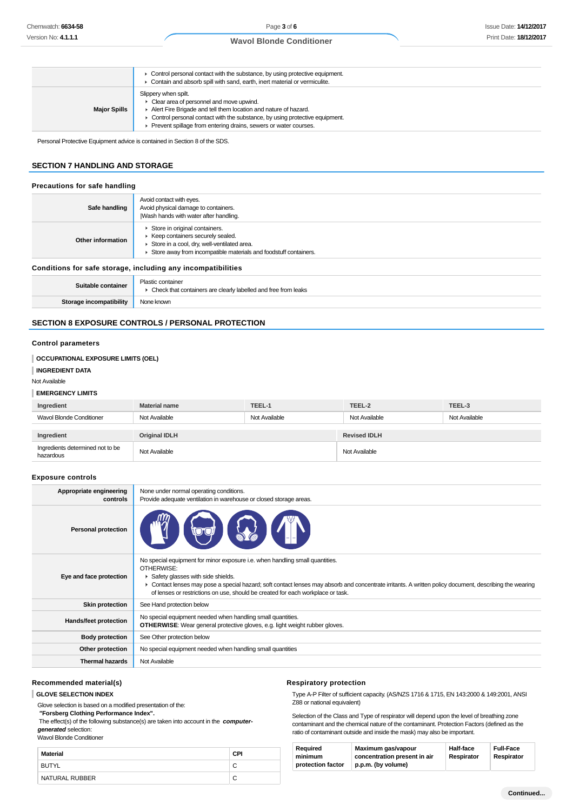|                     | $\blacktriangleright$ Control personal contact with the substance, by using protective equipment.<br>Contain and absorb spill with sand, earth, inert material or vermiculite.                                                                                                                           |
|---------------------|----------------------------------------------------------------------------------------------------------------------------------------------------------------------------------------------------------------------------------------------------------------------------------------------------------|
| <b>Major Spills</b> | Slippery when spilt.<br>• Clear area of personnel and move upwind.<br>Alert Fire Brigade and tell them location and nature of hazard.<br>$\triangleright$ Control personal contact with the substance, by using protective equipment.<br>Prevent spillage from entering drains, sewers or water courses. |

Personal Protective Equipment advice is contained in Section 8 of the SDS.

## **SECTION 7 HANDLING AND STORAGE**

#### **Precautions for safe handling**

| Safe handling                                                | Avoid contact with eyes.<br>Avoid physical damage to containers.<br>Wash hands with water after handling.                                                                              |  |
|--------------------------------------------------------------|----------------------------------------------------------------------------------------------------------------------------------------------------------------------------------------|--|
| Other information                                            | Store in original containers.<br>▶ Keep containers securely sealed.<br>Store in a cool, dry, well-ventilated area.<br>Store away from incompatible materials and foodstuff containers. |  |
| Conditions for safe storage, including any incompatibilities |                                                                                                                                                                                        |  |
| Suitable container                                           | Plastic container<br>• Check that containers are clearly labelled and free from leaks                                                                                                  |  |
| Storage incompatibility                                      | None known                                                                                                                                                                             |  |

### **SECTION 8 EXPOSURE CONTROLS / PERSONAL PROTECTION**

#### **Control parameters**

**INGREDIENT DATA** Not Available

**EMERGENCY LIMITS**

**OCCUPATIONAL EXPOSURE LIMITS (OEL)**

| Ingredient                                    | <b>Material name</b>                                                                                                            | TEEL-1        | TEEL-2                                                                                                                                                  | TEEL-3        |
|-----------------------------------------------|---------------------------------------------------------------------------------------------------------------------------------|---------------|---------------------------------------------------------------------------------------------------------------------------------------------------------|---------------|
| <b>Wavol Blonde Conditioner</b>               | Not Available                                                                                                                   | Not Available | Not Available                                                                                                                                           | Not Available |
|                                               |                                                                                                                                 |               |                                                                                                                                                         |               |
| Ingredient                                    | <b>Original IDLH</b>                                                                                                            |               | <b>Revised IDLH</b>                                                                                                                                     |               |
| Ingredients determined not to be<br>hazardous | Not Available                                                                                                                   |               | Not Available                                                                                                                                           |               |
| <b>Exposure controls</b>                      |                                                                                                                                 |               |                                                                                                                                                         |               |
| Appropriate engineering<br>controls           | None under normal operating conditions.<br>Provide adequate ventilation in warehouse or closed storage areas.                   |               |                                                                                                                                                         |               |
| <b>Personal protection</b>                    |                                                                                                                                 |               |                                                                                                                                                         |               |
| Eye and face protection                       | No special equipment for minor exposure i.e. when handling small quantities.<br>OTHERWISE:<br>Safety glasses with side shields. |               | • Contact lenses may pose a special hazard; soft contact lenses may absorb and concentrate irritants. A written policy document, describing the wearing |               |

|                        | OUTIQUE FUIT DU TERMINA DE SOLUCIO HIGHE DE SOLUCIO DE DE SOLUCIO DE SOLUCIO DE SOLUCIO DE SOLUCIO DE SOLUCIO D<br>of lenses or restrictions on use, should be created for each workplace or task. |
|------------------------|----------------------------------------------------------------------------------------------------------------------------------------------------------------------------------------------------|
| <b>Skin protection</b> | See Hand protection below                                                                                                                                                                          |
| Hands/feet protection  | No special equipment needed when handling small quantities.<br><b>OTHERWISE:</b> Wear general protective gloves, e.g. light weight rubber gloves.                                                  |
| <b>Body protection</b> | See Other protection below                                                                                                                                                                         |
| Other protection       | No special equipment needed when handling small quantities                                                                                                                                         |
|                        |                                                                                                                                                                                                    |

**Thermal hazards** Not Available

#### **Recommended material(s)**

#### **GLOVE SELECTION INDEX**

Glove selection is based on a modified presentation of the:

 **"Forsberg Clothing Performance Index".**

 The effect(s) of the following substance(s) are taken into account in the **computergenerated** selection:

Wavol Blonde Conditioner

| Material       | <b>CPI</b> |
|----------------|------------|
| BUTYL          |            |
| NATURAL RUBBER | С          |

#### **Respiratory protection**

Type A-P Filter of sufficient capacity. (AS/NZS 1716 & 1715, EN 143:2000 & 149:2001, ANSI Z88 or national equivalent)

Selection of the Class and Type of respirator will depend upon the level of breathing zone contaminant and the chemical nature of the contaminant. Protection Factors (defined as the ratio of contaminant outside and inside the mask) may also be important.

| Required          | Maximum gas/vapour           | <b>Half-face</b> | <b>Full-Face</b> |
|-------------------|------------------------------|------------------|------------------|
| minimum           | concentration present in air | Respirator       | Respirator       |
| protection factor | p.p.m. (by volume)           |                  |                  |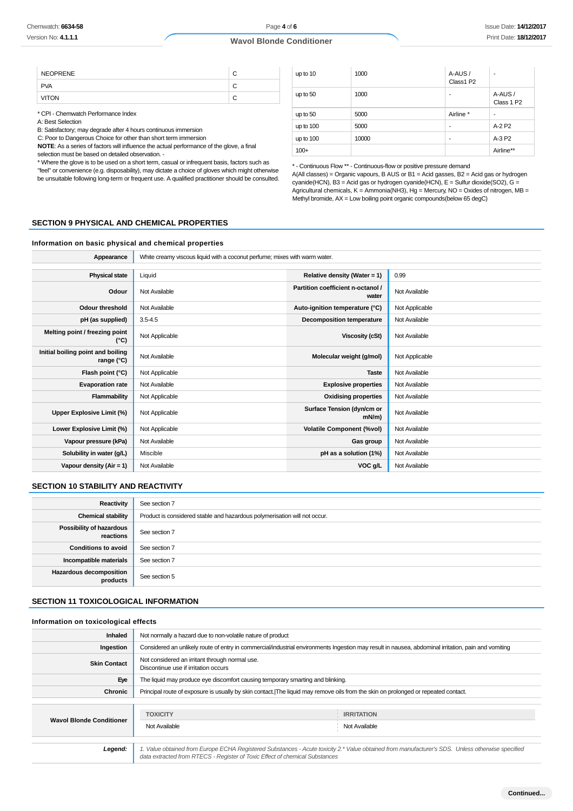| <b>NEOPRENE</b> |  |
|-----------------|--|
| <b>PVA</b>      |  |
|                 |  |

\* CPI - Chemwatch Performance Index

A: Best Selection

B: Satisfactory; may degrade after 4 hours continuous immersion

C: Poor to Dangerous Choice for other than short term immersion

**NOTE**: As a series of factors will influence the actual performance of the glove, a final selection must be based on detailed observation. -

\* Where the glove is to be used on a short term, casual or infrequent basis, factors such as

"feel" or convenience (e.g. disposability), may dictate a choice of gloves which might otherwise be unsuitable following long-term or frequent use. A qualified practitioner should be consulted.

| up to 10  | 1000  | A-AUS/<br>Class1 P2 | ۰                        |
|-----------|-------|---------------------|--------------------------|
| up to 50  | 1000  | -                   | A-AUS /<br>Class 1 P2    |
| up to 50  | 5000  | Airline *           | $\overline{\phantom{a}}$ |
| up to 100 | 5000  | ۰                   | A-2 P2                   |
| up to 100 | 10000 | ٠                   | A-3 P2                   |
| $100+$    |       |                     | Airline**                |

\* - Continuous Flow \*\* - Continuous-flow or positive pressure demand

A(All classes) = Organic vapours, B AUS or B1 = Acid gasses, B2 = Acid gas or hydrogen cyanide(HCN), B3 = Acid gas or hydrogen cyanide(HCN), E = Sulfur dioxide(SO2), G = Agricultural chemicals,  $K =$  Ammonia(NH3),  $Hg =$  Mercury, NO = Oxides of nitrogen, MB = Methyl bromide, AX = Low boiling point organic compounds(below 65 degC)

#### **SECTION 9 PHYSICAL AND CHEMICAL PROPERTIES**

#### **Information on basic physical and chemical properties**

| Appearance                                      | White creamy viscous liquid with a coconut perfume; mixes with warm water. |                                            |                |
|-------------------------------------------------|----------------------------------------------------------------------------|--------------------------------------------|----------------|
|                                                 |                                                                            |                                            |                |
| <b>Physical state</b>                           | Liquid                                                                     | Relative density (Water = 1)               | 0.99           |
| Odour                                           | Not Available                                                              | Partition coefficient n-octanol /<br>water | Not Available  |
| <b>Odour threshold</b>                          | Not Available                                                              | Auto-ignition temperature (°C)             | Not Applicable |
| pH (as supplied)                                | $3.5 - 4.5$                                                                | Decomposition temperature                  | Not Available  |
| Melting point / freezing point<br>$(^{\circ}C)$ | Not Applicable                                                             | Viscosity (cSt)                            | Not Available  |
| Initial boiling point and boiling<br>range (°C) | Not Available                                                              | Molecular weight (g/mol)                   | Not Applicable |
| Flash point (°C)                                | Not Applicable                                                             | <b>Taste</b>                               | Not Available  |
| <b>Evaporation rate</b>                         | Not Available                                                              | <b>Explosive properties</b>                | Not Available  |
| Flammability                                    | Not Applicable                                                             | <b>Oxidising properties</b>                | Not Available  |
| Upper Explosive Limit (%)                       | Not Applicable                                                             | Surface Tension (dyn/cm or<br>$mN/m$ )     | Not Available  |
| Lower Explosive Limit (%)                       | Not Applicable                                                             | <b>Volatile Component (%vol)</b>           | Not Available  |
| Vapour pressure (kPa)                           | Not Available                                                              | Gas group                                  | Not Available  |
| Solubility in water (g/L)                       | Miscible                                                                   | pH as a solution (1%)                      | Not Available  |
| Vapour density $(Air = 1)$                      | Not Available                                                              | VOC g/L                                    | Not Available  |

#### **SECTION 10 STABILITY AND REACTIVITY**

| Reactivity                                   | See section 7                                                             |
|----------------------------------------------|---------------------------------------------------------------------------|
| <b>Chemical stability</b>                    | Product is considered stable and hazardous polymerisation will not occur. |
| <b>Possibility of hazardous</b><br>reactions | See section 7                                                             |
| <b>Conditions to avoid</b>                   | See section 7                                                             |
| Incompatible materials                       | See section 7                                                             |
| <b>Hazardous decomposition</b><br>products   | See section 5                                                             |

## **SECTION 11 TOXICOLOGICAL INFORMATION**

#### **Information on toxicological effects**

| <b>Inhaled</b>                  | Not normally a hazard due to non-volatile nature of product                                                                        |                                                                                                                                                     |
|---------------------------------|------------------------------------------------------------------------------------------------------------------------------------|-----------------------------------------------------------------------------------------------------------------------------------------------------|
| Ingestion                       |                                                                                                                                    | Considered an unlikely route of entry in commercial/industrial environments Ingestion may result in nausea, abdominal irritation, pain and vomiting |
| <b>Skin Contact</b>             | Not considered an irritant through normal use.<br>Discontinue use if irritation occurs                                             |                                                                                                                                                     |
| Eye                             | The liquid may produce eye discomfort causing temporary smarting and blinking.                                                     |                                                                                                                                                     |
| Chronic                         | Principal route of exposure is usually by skin contact. The liquid may remove oils from the skin on prolonged or repeated contact. |                                                                                                                                                     |
|                                 |                                                                                                                                    |                                                                                                                                                     |
| <b>Wavol Blonde Conditioner</b> | <b>TOXICITY</b>                                                                                                                    | <b>IRRITATION</b>                                                                                                                                   |
|                                 | Not Available                                                                                                                      | Not Available                                                                                                                                       |
|                                 |                                                                                                                                    |                                                                                                                                                     |
| Legend:                         | data extracted from RTECS - Register of Toxic Effect of chemical Substances                                                        | 1. Value obtained from Europe ECHA Registered Substances - Acute toxicity 2.* Value obtained from manufacturer's SDS. Unless otherwise specified    |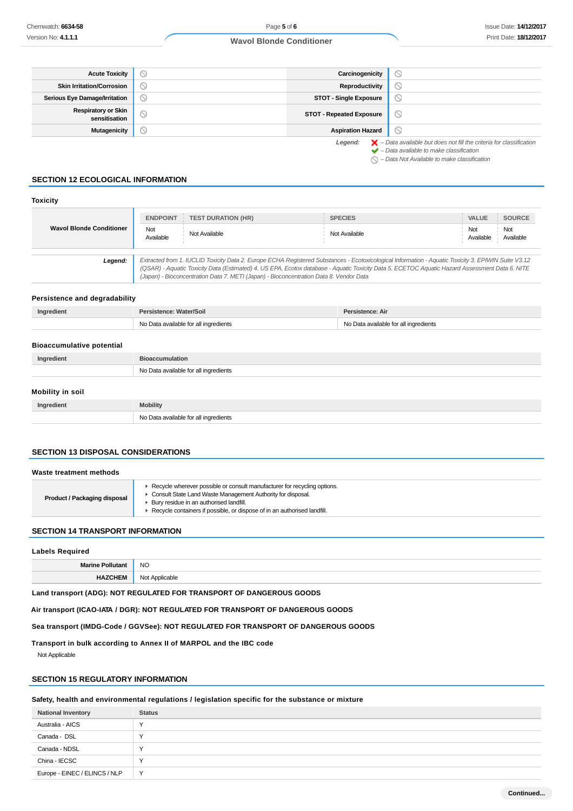| <b>Acute Toxicity</b>                       | $\circ$ | Carcinogenicity                 | $\circ$                                                                                                                                                   |
|---------------------------------------------|---------|---------------------------------|-----------------------------------------------------------------------------------------------------------------------------------------------------------|
| <b>Skin Irritation/Corrosion</b>            | $\circ$ | Reproductivity                  | $\circ$                                                                                                                                                   |
| <b>Serious Eye Damage/Irritation</b>        | $\circ$ | <b>STOT - Single Exposure</b>   | $\circlearrowright$                                                                                                                                       |
| <b>Respiratory or Skin</b><br>sensitisation | $\circ$ | <b>STOT - Repeated Exposure</b> | $\circ$                                                                                                                                                   |
| <b>Mutagenicity</b>                         |         | <b>Aspiration Hazard</b>        | $\circ$                                                                                                                                                   |
|                                             |         | Legend:                         | $\blacktriangleright$ - Data available but does not fill the criteria for classification<br>$\blacktriangleright$ - Data available to make classification |

 $\bigcirc$  – Data Not Available to make classification

#### **SECTION 12 ECOLOGICAL INFORMATION**

| <b>Toxicity</b>                 |                  |                                                                                        |                                                                                                                                                                                                                                                                                                       |                  |                  |
|---------------------------------|------------------|----------------------------------------------------------------------------------------|-------------------------------------------------------------------------------------------------------------------------------------------------------------------------------------------------------------------------------------------------------------------------------------------------------|------------------|------------------|
|                                 | <b>ENDPOINT</b>  | <b>TEST DURATION (HR)</b>                                                              | <b>SPECIES</b>                                                                                                                                                                                                                                                                                        | <b>VALUE</b>     | <b>SOURCE</b>    |
| <b>Wavol Blonde Conditioner</b> | Not<br>Available | Not Available                                                                          | Not Available                                                                                                                                                                                                                                                                                         | Not<br>Available | Not<br>Available |
| Legend:                         |                  | (Japan) - Bioconcentration Data 7. METI (Japan) - Bioconcentration Data 8. Vendor Data | Extracted from 1. IUCLID Toxicity Data 2. Europe ECHA Registered Substances - Ecotoxicological Information - Aquatic Toxicity 3. EPIWIN Suite V3.12<br>(QSAR) - Aquatic Toxicity Data (Estimated) 4. US EPA, Ecotox database - Aquatic Toxicity Data 5. ECETOC Aquatic Hazard Assessment Data 6. NITE |                  |                  |

#### **Persistence and degradability**

| Ingredient                       | Persistence: Water/Soil               | Persistence: Air                      |
|----------------------------------|---------------------------------------|---------------------------------------|
|                                  | No Data available for all ingredients | No Data available for all ingredients |
|                                  |                                       |                                       |
| <b>Bioaccumulative potential</b> |                                       |                                       |

| Ingredient       | <b>Bioaccumulation</b>                |
|------------------|---------------------------------------|
|                  | No Data available for all ingredients |
|                  |                                       |
| Mobility in soil |                                       |

| Ingredient | <b>Mobility</b>                       |
|------------|---------------------------------------|
|            | No Data available for all ingredients |

## **SECTION 13 DISPOSAL CONSIDERATIONS**

| Waste treatment methods             |                                                                                                                                                                                                                                                                      |
|-------------------------------------|----------------------------------------------------------------------------------------------------------------------------------------------------------------------------------------------------------------------------------------------------------------------|
| <b>Product / Packaging disposal</b> | ► Recycle wherever possible or consult manufacturer for recycling options.<br>Consult State Land Waste Management Authority for disposal.<br>> Bury residue in an authorised landfill.<br>▶ Recycle containers if possible, or dispose of in an authorised landfill. |
|                                     |                                                                                                                                                                                                                                                                      |

### **SECTION 14 TRANSPORT INFORMATION**

#### **Labels Required**

| <b>NC</b> |
|-----------|
|           |

**Land transport (ADG): NOT REGULATED FOR TRANSPORT OF DANGEROUS GOODS**

**Air transport (ICAO-IATA / DGR): NOT REGULATED FOR TRANSPORT OF DANGEROUS GOODS**

**Sea transport (IMDG-Code / GGVSee): NOT REGULATED FOR TRANSPORT OF DANGEROUS GOODS**

**Transport in bulk according to Annex II of MARPOL and the IBC code**

Not Applicable

## **SECTION 15 REGULATORY INFORMATION**

**Safety, health and environmental regulations / legislation specific for the substance or mixture**

| <b>National Inventory</b>     | <b>Status</b> |
|-------------------------------|---------------|
| Australia - AICS              | $\checkmark$  |
| Canada - DSL                  | $\checkmark$  |
| Canada - NDSL                 | ↘             |
| China - IECSC                 | $\checkmark$  |
| Europe - EINEC / ELINCS / NLP | Y             |